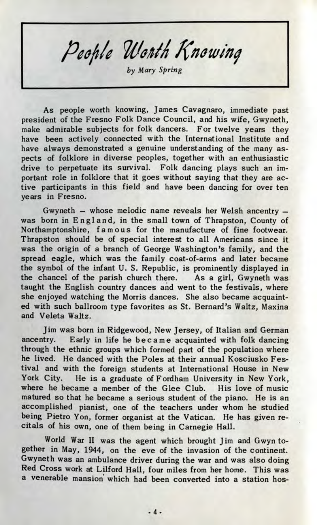People Worth Knowing

*by Mary Spring*

As people worth knowing, James Cavagnaro, immediate past president of the Fresno Folk Dance Council, and his wife, Gwyneth, make admirable subjects for folk dancers. For twelve years they have been actively connected with the International Institute and have always demonstrated a genuine understanding of the many aspects of folklore in diverse peoples, together with an enthusiastic drive to perpetuate its survival. Folk dancing plays such an important role in folklore that it goes without saying that they are active participants in this field and have been dancing for over ten years in Fresno.

Gwyneth — whose melodic name reveals her Welsh ancentry was born in England, in the small town of Thrapston, County of Northamptonshire, famous for the manufacture of fine footwear. Thrapston should be of special interest to all Americans since it was the origin of a branch of George Washington's family, and the spread eagle, which was the family coat-of-arms and later became the symbol of the infant U. S. Republic, is prominently displayed in the chancel of the parish church there. As a girl, Gwyneth was taught the English country dances and went to the festivals, where she enjoyed watching the Morris dances. She also became acquainted with such ballroom type favorites as St. Bernard's Waltz, Maxina and Veleta Waltz.

Jim was born in Ridgewood, New Jersey, of Italian and German ancentry. Early in life he became acquainted with folk dancing through the ethnic groups which formed part of the population where he lived. He danced with the Poles at their annual Kosciusko Festival and with the foreign students at International House in New York City. He is a graduate of Fordham University in New York, where he became a member of the Glee Club. His love of music matured so that he became a serious student of the piano. He is an accomplished pianist, one of the teachers under whom he studied being Pietro Yon, former organist at the Vatican. He has given recitals of his own, one of them being in Carnegie Hall.

World War II was the agent which brought Jim and Gwyn together in May, 1944, on the eve of the invasion of the continent. Gwyneth was an ambulance driver during the war and was also doing Red Cross work at Lilford Hall, four miles from her home. This was a venerable mansion which had been converted into a station hos-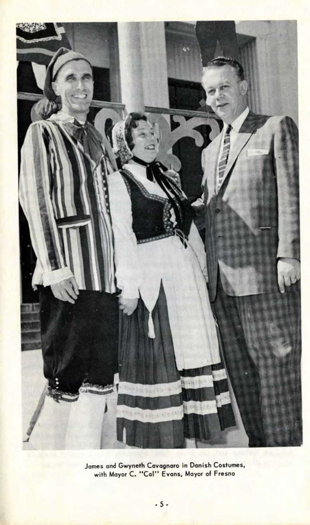

James and Gwyneth Cavagnaro in Danish Costumes, with Mayor C. "Col" Evans, Mayor of Fresno